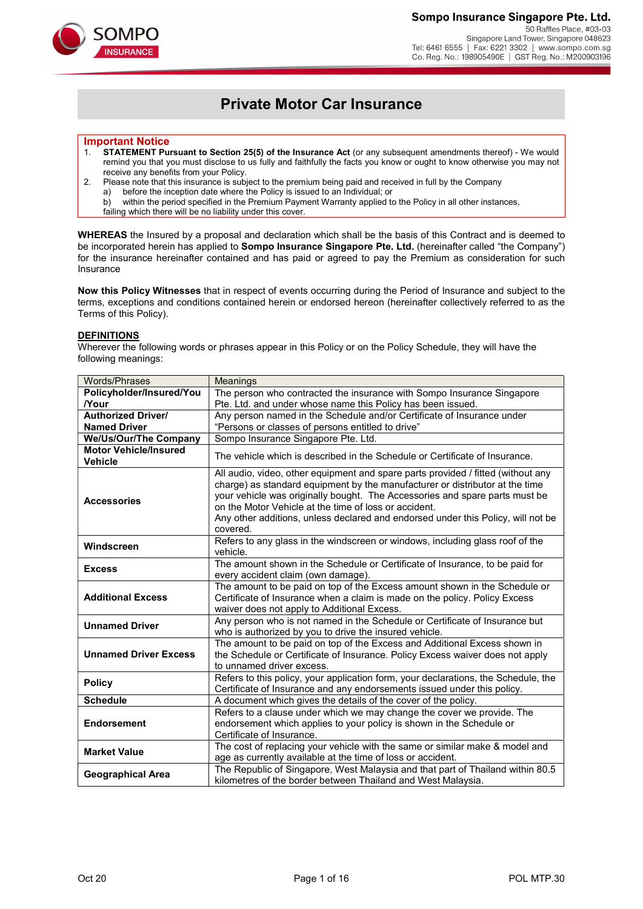## Sompo Insurance Singapore Pte. Ltd.

50 Raffles Place, #03-03 Singapore Land Tower, Singapore 048623<br>Tel: 6461 6555 | Fax: 6221 3302 | www.sompo.com.sg Co. Reg. No.: 198905490E | GST Reg. No.: M200903196



## Private Motor Car Insurance

## Important Notice

- 1. STATEMENT Pursuant to Section 25(5) of the Insurance Act (or any subsequent amendments thereof) We would remind you that you must disclose to us fully and faithfully the facts you know or ought to know otherwise you may not receive any benefits from your Policy.
- 2. Please note that this insurance is subject to the premium being paid and received in full by the Company
	- a) before the inception date where the Policy is issued to an Individual; or

b) within the period specified in the Premium Payment Warranty applied to the Policy in all other instances, failing which there will be no liability under this cover.

WHEREAS the Insured by a proposal and declaration which shall be the basis of this Contract and is deemed to be incorporated herein has applied to Sompo Insurance Singapore Pte. Ltd. (hereinafter called "the Company") for the insurance hereinafter contained and has paid or agreed to pay the Premium as consideration for such Insurance

Now this Policy Witnesses that in respect of events occurring during the Period of Insurance and subject to the terms, exceptions and conditions contained herein or endorsed hereon (hereinafter collectively referred to as the Terms of this Policy).

#### **DEFINITIONS**

Wherever the following words or phrases appear in this Policy or on the Policy Schedule, they will have the following meanings:

| Words/Phrases                                                                                                                                                              | Meanings                                                                                                                                                                                                                                                                                                                                                                                                 |  |
|----------------------------------------------------------------------------------------------------------------------------------------------------------------------------|----------------------------------------------------------------------------------------------------------------------------------------------------------------------------------------------------------------------------------------------------------------------------------------------------------------------------------------------------------------------------------------------------------|--|
| Policyholder/Insured/You                                                                                                                                                   | The person who contracted the insurance with Sompo Insurance Singapore                                                                                                                                                                                                                                                                                                                                   |  |
| <b>Nour</b>                                                                                                                                                                | Pte. Ltd. and under whose name this Policy has been issued.                                                                                                                                                                                                                                                                                                                                              |  |
| <b>Authorized Driver/</b>                                                                                                                                                  | Any person named in the Schedule and/or Certificate of Insurance under                                                                                                                                                                                                                                                                                                                                   |  |
| <b>Named Driver</b><br>"Persons or classes of persons entitled to drive"                                                                                                   |                                                                                                                                                                                                                                                                                                                                                                                                          |  |
| We/Us/Our/The Company                                                                                                                                                      | Sompo Insurance Singapore Pte. Ltd.                                                                                                                                                                                                                                                                                                                                                                      |  |
| <b>Motor Vehicle/Insured</b><br><b>Vehicle</b>                                                                                                                             | The vehicle which is described in the Schedule or Certificate of Insurance.                                                                                                                                                                                                                                                                                                                              |  |
| <b>Accessories</b>                                                                                                                                                         | All audio, video, other equipment and spare parts provided / fitted (without any<br>charge) as standard equipment by the manufacturer or distributor at the time<br>your vehicle was originally bought. The Accessories and spare parts must be<br>on the Motor Vehicle at the time of loss or accident.<br>Any other additions, unless declared and endorsed under this Policy, will not be<br>covered. |  |
| Windscreen                                                                                                                                                                 | Refers to any glass in the windscreen or windows, including glass roof of the<br>vehicle.                                                                                                                                                                                                                                                                                                                |  |
| <b>Excess</b>                                                                                                                                                              | The amount shown in the Schedule or Certificate of Insurance, to be paid for<br>every accident claim (own damage).                                                                                                                                                                                                                                                                                       |  |
| <b>Additional Excess</b>                                                                                                                                                   | The amount to be paid on top of the Excess amount shown in the Schedule or<br>Certificate of Insurance when a claim is made on the policy. Policy Excess<br>waiver does not apply to Additional Excess.                                                                                                                                                                                                  |  |
| Any person who is not named in the Schedule or Certificate of Insurance but<br><b>Unnamed Driver</b><br>who is authorized by you to drive the insured vehicle.             |                                                                                                                                                                                                                                                                                                                                                                                                          |  |
| <b>Unnamed Driver Excess</b>                                                                                                                                               | The amount to be paid on top of the Excess and Additional Excess shown in<br>the Schedule or Certificate of Insurance. Policy Excess waiver does not apply<br>to unnamed driver excess.                                                                                                                                                                                                                  |  |
| <b>Policy</b>                                                                                                                                                              | Refers to this policy, your application form, your declarations, the Schedule, the<br>Certificate of Insurance and any endorsements issued under this policy.                                                                                                                                                                                                                                            |  |
| <b>Schedule</b>                                                                                                                                                            | A document which gives the details of the cover of the policy.                                                                                                                                                                                                                                                                                                                                           |  |
| <b>Endorsement</b>                                                                                                                                                         | Refers to a clause under which we may change the cover we provide. The<br>endorsement which applies to your policy is shown in the Schedule or<br>Certificate of Insurance.                                                                                                                                                                                                                              |  |
| <b>Market Value</b>                                                                                                                                                        | The cost of replacing your vehicle with the same or similar make & model and<br>age as currently available at the time of loss or accident.                                                                                                                                                                                                                                                              |  |
| The Republic of Singapore, West Malaysia and that part of Thailand within 80.5<br><b>Geographical Area</b><br>kilometres of the border between Thailand and West Malaysia. |                                                                                                                                                                                                                                                                                                                                                                                                          |  |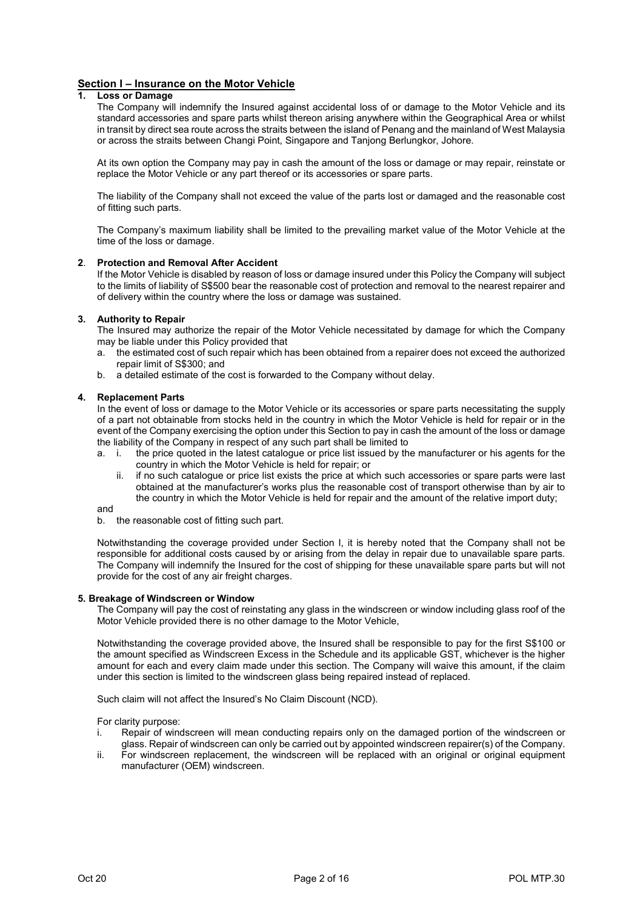## Section I – Insurance on the Motor Vehicle<br>1. I oss or Damage

#### **Loss or Damage**

 The Company will indemnify the Insured against accidental loss of or damage to the Motor Vehicle and its standard accessories and spare parts whilst thereon arising anywhere within the Geographical Area or whilst in transit by direct sea route across the straits between the island of Penang and the mainland of West Malaysia or across the straits between Changi Point, Singapore and Tanjong Berlungkor, Johore.

 At its own option the Company may pay in cash the amount of the loss or damage or may repair, reinstate or replace the Motor Vehicle or any part thereof or its accessories or spare parts.

 The liability of the Company shall not exceed the value of the parts lost or damaged and the reasonable cost of fitting such parts.

 The Company's maximum liability shall be limited to the prevailing market value of the Motor Vehicle at the time of the loss or damage.

#### 2. Protection and Removal After Accident

 If the Motor Vehicle is disabled by reason of loss or damage insured under this Policy the Company will subject to the limits of liability of S\$500 bear the reasonable cost of protection and removal to the nearest repairer and of delivery within the country where the loss or damage was sustained.

#### 3. Authority to Repair

 The Insured may authorize the repair of the Motor Vehicle necessitated by damage for which the Company may be liable under this Policy provided that

- a. the estimated cost of such repair which has been obtained from a repairer does not exceed the authorized repair limit of S\$300; and
- b. a detailed estimate of the cost is forwarded to the Company without delay.

#### 4. Replacement Parts

 In the event of loss or damage to the Motor Vehicle or its accessories or spare parts necessitating the supply of a part not obtainable from stocks held in the country in which the Motor Vehicle is held for repair or in the event of the Company exercising the option under this Section to pay in cash the amount of the loss or damage the liability of the Company in respect of any such part shall be limited to

- a. i. the price quoted in the latest catalogue or price list issued by the manufacturer or his agents for the country in which the Motor Vehicle is held for repair; or
	- ii. if no such catalogue or price list exists the price at which such accessories or spare parts were last obtained at the manufacturer's works plus the reasonable cost of transport otherwise than by air to the country in which the Motor Vehicle is held for repair and the amount of the relative import duty;

and

b. the reasonable cost of fitting such part.

 Notwithstanding the coverage provided under Section I, it is hereby noted that the Company shall not be responsible for additional costs caused by or arising from the delay in repair due to unavailable spare parts. The Company will indemnify the Insured for the cost of shipping for these unavailable spare parts but will not provide for the cost of any air freight charges.

#### 5. Breakage of Windscreen or Window

The Company will pay the cost of reinstating any glass in the windscreen or window including glass roof of the Motor Vehicle provided there is no other damage to the Motor Vehicle,

Notwithstanding the coverage provided above, the Insured shall be responsible to pay for the first S\$100 or the amount specified as Windscreen Excess in the Schedule and its applicable GST, whichever is the higher amount for each and every claim made under this section. The Company will waive this amount, if the claim under this section is limited to the windscreen glass being repaired instead of replaced.

Such claim will not affect the Insured's No Claim Discount (NCD).

For clarity purpose:

- i. Repair of windscreen will mean conducting repairs only on the damaged portion of the windscreen or glass. Repair of windscreen can only be carried out by appointed windscreen repairer(s) of the Company.
- ii. For windscreen replacement, the windscreen will be replaced with an original or original equipment manufacturer (OEM) windscreen.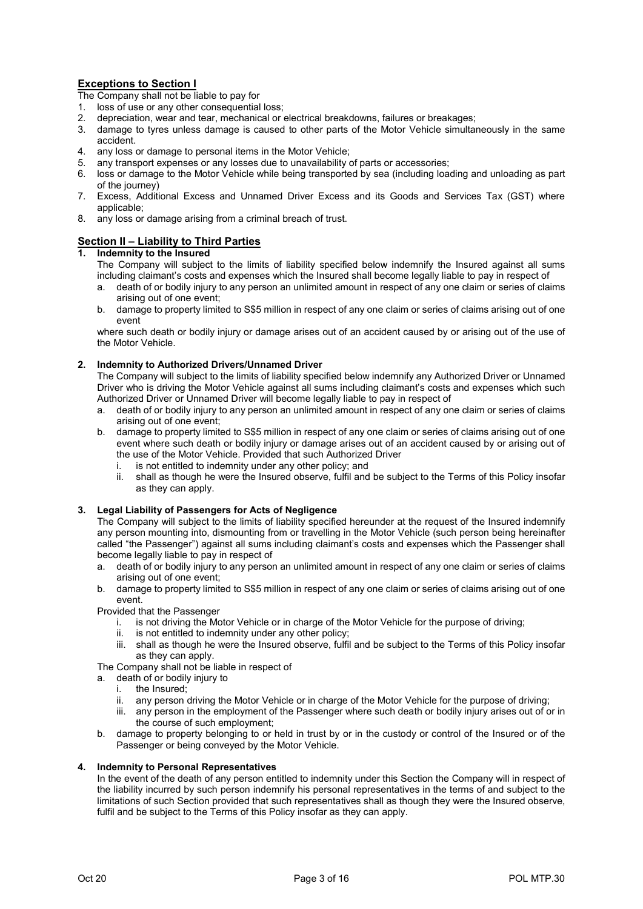## Exceptions to Section I

The Company shall not be liable to pay for

- 1. loss of use or any other consequential loss;
- 2. depreciation, wear and tear, mechanical or electrical breakdowns, failures or breakages;
- 3. damage to tyres unless damage is caused to other parts of the Motor Vehicle simultaneously in the same accident.
- 4. any loss or damage to personal items in the Motor Vehicle;
- 5. any transport expenses or any losses due to unavailability of parts or accessories;
- 6. loss or damage to the Motor Vehicle while being transported by sea (including loading and unloading as part of the journey)
- 7. Excess, Additional Excess and Unnamed Driver Excess and its Goods and Services Tax (GST) where applicable;
- 8. any loss or damage arising from a criminal breach of trust.

## Section II – Liability to Third Parties

#### 1. Indemnity to the Insured

 The Company will subject to the limits of liability specified below indemnify the Insured against all sums including claimant's costs and expenses which the Insured shall become legally liable to pay in respect of

- a. death of or bodily injury to any person an unlimited amount in respect of any one claim or series of claims arising out of one event;
- b. damage to property limited to S\$5 million in respect of any one claim or series of claims arising out of one event

 where such death or bodily injury or damage arises out of an accident caused by or arising out of the use of the Motor Vehicle.

## 2. Indemnity to Authorized Drivers/Unnamed Driver

 The Company will subject to the limits of liability specified below indemnify any Authorized Driver or Unnamed Driver who is driving the Motor Vehicle against all sums including claimant's costs and expenses which such Authorized Driver or Unnamed Driver will become legally liable to pay in respect of

- a. death of or bodily injury to any person an unlimited amount in respect of any one claim or series of claims arising out of one event;
- b. damage to property limited to S\$5 million in respect of any one claim or series of claims arising out of one event where such death or bodily injury or damage arises out of an accident caused by or arising out of the use of the Motor Vehicle. Provided that such Authorized Driver
	- i. is not entitled to indemnity under any other policy; and
	- ii. shall as though he were the Insured observe, fulfil and be subject to the Terms of this Policy insofar as they can apply.

## 3. Legal Liability of Passengers for Acts of Negligence

 The Company will subject to the limits of liability specified hereunder at the request of the Insured indemnify any person mounting into, dismounting from or travelling in the Motor Vehicle (such person being hereinafter called "the Passenger") against all sums including claimant's costs and expenses which the Passenger shall become legally liable to pay in respect of

- a. death of or bodily injury to any person an unlimited amount in respect of any one claim or series of claims arising out of one event;
- b. damage to property limited to S\$5 million in respect of any one claim or series of claims arising out of one event.

Provided that the Passenger

- i. is not driving the Motor Vehicle or in charge of the Motor Vehicle for the purpose of driving;
- ii. is not entitled to indemnity under any other policy;
- iii. shall as though he were the Insured observe, fulfil and be subject to the Terms of this Policy insofar as they can apply.

The Company shall not be liable in respect of

- a. death of or bodily injury to
	- i. the Insured;
	- ii. any person driving the Motor Vehicle or in charge of the Motor Vehicle for the purpose of driving;
	- iii. any person in the employment of the Passenger where such death or bodily injury arises out of or in the course of such employment;
- b. damage to property belonging to or held in trust by or in the custody or control of the Insured or of the Passenger or being conveyed by the Motor Vehicle.

## 4. Indemnity to Personal Representatives

 In the event of the death of any person entitled to indemnity under this Section the Company will in respect of the liability incurred by such person indemnify his personal representatives in the terms of and subject to the limitations of such Section provided that such representatives shall as though they were the Insured observe, fulfil and be subject to the Terms of this Policy insofar as they can apply.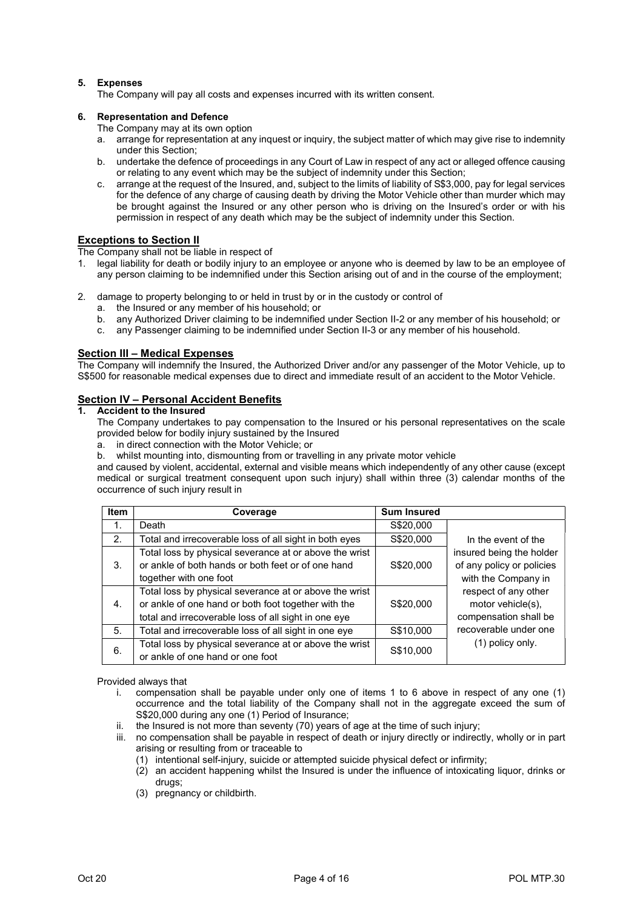## 5. Expenses

The Company will pay all costs and expenses incurred with its written consent.

## 6. Representation and Defence

- The Company may at its own option
- a. arrange for representation at any inquest or inquiry, the subject matter of which may give rise to indemnity under this Section;
- b. undertake the defence of proceedings in any Court of Law in respect of any act or alleged offence causing or relating to any event which may be the subject of indemnity under this Section;
- c. arrange at the request of the Insured, and, subject to the limits of liability of S\$3,000, pay for legal services for the defence of any charge of causing death by driving the Motor Vehicle other than murder which may be brought against the Insured or any other person who is driving on the Insured's order or with his permission in respect of any death which may be the subject of indemnity under this Section.

## Exceptions to Section II

The Company shall not be liable in respect of

- 1. legal liability for death or bodily injury to an employee or anyone who is deemed by law to be an employee of any person claiming to be indemnified under this Section arising out of and in the course of the employment;
- 2. damage to property belonging to or held in trust by or in the custody or control of
	- a. the Insured or any member of his household; or
	- b. any Authorized Driver claiming to be indemnified under Section II-2 or any member of his household; or
	- c. any Passenger claiming to be indemnified under Section II-3 or any member of his household.

## Section III – Medical Expenses

The Company will indemnify the Insured, the Authorized Driver and/or any passenger of the Motor Vehicle, up to S\$500 for reasonable medical expenses due to direct and immediate result of an accident to the Motor Vehicle.

## Section IV – Personal Accident Benefits

## 1. Accident to the Insured

 The Company undertakes to pay compensation to the Insured or his personal representatives on the scale provided below for bodily injury sustained by the Insured

- a. in direct connection with the Motor Vehicle; or
- b. whilst mounting into, dismounting from or travelling in any private motor vehicle

 and caused by violent, accidental, external and visible means which independently of any other cause (except medical or surgical treatment consequent upon such injury) shall within three (3) calendar months of the occurrence of such injury result in

| <b>Item</b> | Coverage                                               | <b>Sum Insured</b> |                           |
|-------------|--------------------------------------------------------|--------------------|---------------------------|
| 1.          | Death                                                  | S\$20,000          |                           |
| 2.          | Total and irrecoverable loss of all sight in both eyes | S\$20,000          | In the event of the       |
|             | Total loss by physical severance at or above the wrist |                    | insured being the holder  |
| 3.          | or ankle of both hands or both feet or of one hand     | S\$20,000          | of any policy or policies |
|             | together with one foot                                 |                    | with the Company in       |
|             | Total loss by physical severance at or above the wrist |                    | respect of any other      |
| 4.          | or ankle of one hand or both foot together with the    | S\$20,000          | motor vehicle(s),         |
|             | total and irrecoverable loss of all sight in one eye   |                    | compensation shall be     |
| 5.          | Total and irrecoverable loss of all sight in one eye   | S\$10,000          | recoverable under one     |
| 6.          | Total loss by physical severance at or above the wrist | S\$10,000          | $(1)$ policy only.        |
|             | or ankle of one hand or one foot                       |                    |                           |

Provided always that

- i. compensation shall be payable under only one of items 1 to 6 above in respect of any one (1) occurrence and the total liability of the Company shall not in the aggregate exceed the sum of S\$20,000 during any one (1) Period of Insurance;
- ii. the Insured is not more than seventy (70) years of age at the time of such injury;
- iii. no compensation shall be payable in respect of death or injury directly or indirectly, wholly or in part arising or resulting from or traceable to
	- (1) intentional self-injury, suicide or attempted suicide physical defect or infirmity;
	- (2) an accident happening whilst the Insured is under the influence of intoxicating liquor, drinks or drugs;
	- (3) pregnancy or childbirth.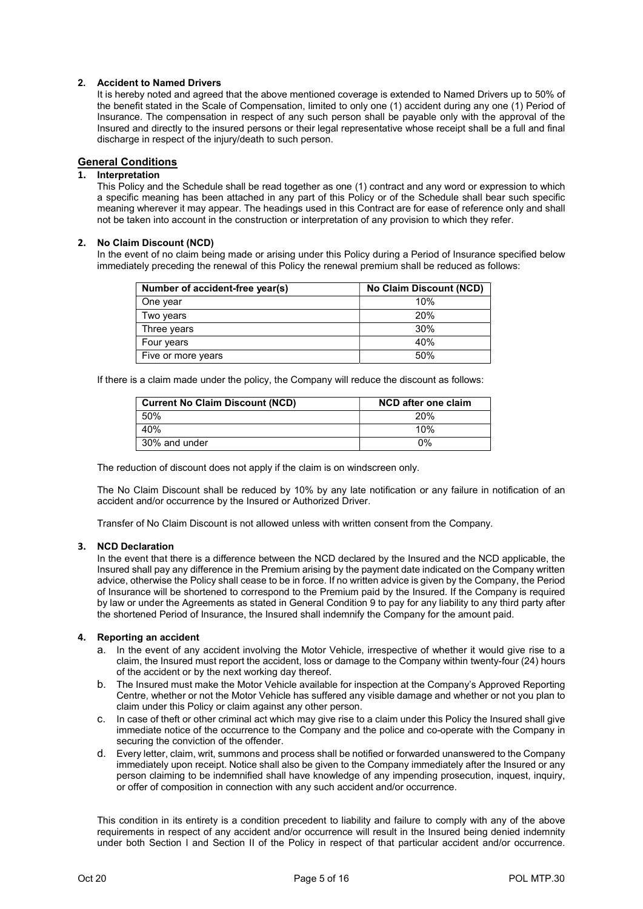## 2. Accident to Named Drivers

It is hereby noted and agreed that the above mentioned coverage is extended to Named Drivers up to 50% of the benefit stated in the Scale of Compensation, limited to only one (1) accident during any one (1) Period of Insurance. The compensation in respect of any such person shall be payable only with the approval of the Insured and directly to the insured persons or their legal representative whose receipt shall be a full and final discharge in respect of the injury/death to such person.

## General Conditions

## 1. Interpretation

This Policy and the Schedule shall be read together as one (1) contract and any word or expression to which a specific meaning has been attached in any part of this Policy or of the Schedule shall bear such specific meaning wherever it may appear. The headings used in this Contract are for ease of reference only and shall not be taken into account in the construction or interpretation of any provision to which they refer.

#### 2. No Claim Discount (NCD)

In the event of no claim being made or arising under this Policy during a Period of Insurance specified below immediately preceding the renewal of this Policy the renewal premium shall be reduced as follows:

| Number of accident-free year(s) | No Claim Discount (NCD) |
|---------------------------------|-------------------------|
| One year                        | 10%                     |
| Two years                       | 20%                     |
| Three years                     | 30%                     |
| Four years                      | 40%                     |
| Five or more years              | 50%                     |

If there is a claim made under the policy, the Company will reduce the discount as follows:

| <b>Current No Claim Discount (NCD)</b> | NCD after one claim |
|----------------------------------------|---------------------|
| 50%                                    | 20%                 |
| 40%                                    | 10%                 |
| 30% and under                          | 0%                  |

The reduction of discount does not apply if the claim is on windscreen only.

The No Claim Discount shall be reduced by 10% by any late notification or any failure in notification of an accident and/or occurrence by the Insured or Authorized Driver.

Transfer of No Claim Discount is not allowed unless with written consent from the Company.

#### 3. NCD Declaration

In the event that there is a difference between the NCD declared by the Insured and the NCD applicable, the Insured shall pay any difference in the Premium arising by the payment date indicated on the Company written advice, otherwise the Policy shall cease to be in force. If no written advice is given by the Company, the Period of Insurance will be shortened to correspond to the Premium paid by the Insured. If the Company is required by law or under the Agreements as stated in General Condition 9 to pay for any liability to any third party after the shortened Period of Insurance, the Insured shall indemnify the Company for the amount paid.

#### 4. Reporting an accident

- a. In the event of any accident involving the Motor Vehicle, irrespective of whether it would give rise to a claim, the Insured must report the accident, loss or damage to the Company within twenty-four (24) hours of the accident or by the next working day thereof.
- b. The Insured must make the Motor Vehicle available for inspection at the Company's Approved Reporting Centre, whether or not the Motor Vehicle has suffered any visible damage and whether or not you plan to claim under this Policy or claim against any other person.
- c. In case of theft or other criminal act which may give rise to a claim under this Policy the Insured shall give immediate notice of the occurrence to the Company and the police and co-operate with the Company in securing the conviction of the offender.
- d. Every letter, claim, writ, summons and process shall be notified or forwarded unanswered to the Company immediately upon receipt. Notice shall also be given to the Company immediately after the Insured or any person claiming to be indemnified shall have knowledge of any impending prosecution, inquest, inquiry, or offer of composition in connection with any such accident and/or occurrence.

This condition in its entirety is a condition precedent to liability and failure to comply with any of the above requirements in respect of any accident and/or occurrence will result in the Insured being denied indemnity under both Section I and Section II of the Policy in respect of that particular accident and/or occurrence.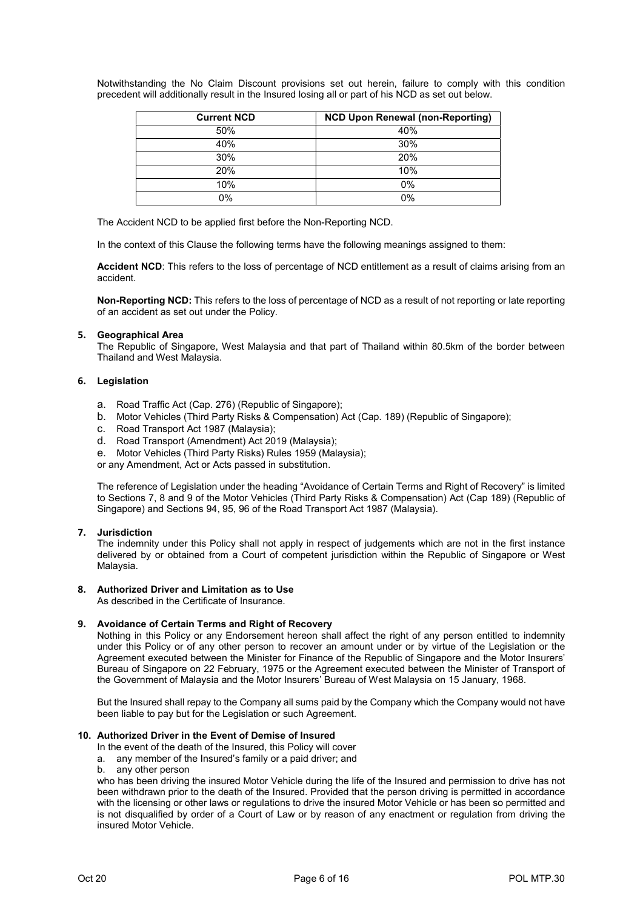Notwithstanding the No Claim Discount provisions set out herein, failure to comply with this condition precedent will additionally result in the Insured losing all or part of his NCD as set out below.

| <b>Current NCD</b> | <b>NCD Upon Renewal (non-Reporting)</b> |
|--------------------|-----------------------------------------|
| 50%                | 40%                                     |
| 40%                | 30%                                     |
| 30%                | 20%                                     |
| 20%                | 10%                                     |
| 10%                | 0%                                      |
| 0%                 | 0%                                      |

The Accident NCD to be applied first before the Non-Reporting NCD.

In the context of this Clause the following terms have the following meanings assigned to them:

Accident NCD: This refers to the loss of percentage of NCD entitlement as a result of claims arising from an accident.

Non-Reporting NCD: This refers to the loss of percentage of NCD as a result of not reporting or late reporting of an accident as set out under the Policy.

#### 5. Geographical Area

The Republic of Singapore, West Malaysia and that part of Thailand within 80.5km of the border between Thailand and West Malaysia.

#### 6. Legislation

- a. Road Traffic Act (Cap. 276) (Republic of Singapore);
- b. Motor Vehicles (Third Party Risks & Compensation) Act (Cap. 189) (Republic of Singapore);
- c. Road Transport Act 1987 (Malaysia);
- d. Road Transport (Amendment) Act 2019 (Malaysia);
- e. Motor Vehicles (Third Party Risks) Rules 1959 (Malaysia);

or any Amendment, Act or Acts passed in substitution.

The reference of Legislation under the heading "Avoidance of Certain Terms and Right of Recovery" is limited to Sections 7, 8 and 9 of the Motor Vehicles (Third Party Risks & Compensation) Act (Cap 189) (Republic of Singapore) and Sections 94, 95, 96 of the Road Transport Act 1987 (Malaysia).

#### 7. Jurisdiction

The indemnity under this Policy shall not apply in respect of judgements which are not in the first instance delivered by or obtained from a Court of competent jurisdiction within the Republic of Singapore or West Malaysia.

## 8. Authorized Driver and Limitation as to Use

As described in the Certificate of Insurance.

#### 9. Avoidance of Certain Terms and Right of Recovery

Nothing in this Policy or any Endorsement hereon shall affect the right of any person entitled to indemnity under this Policy or of any other person to recover an amount under or by virtue of the Legislation or the Agreement executed between the Minister for Finance of the Republic of Singapore and the Motor Insurers' Bureau of Singapore on 22 February, 1975 or the Agreement executed between the Minister of Transport of the Government of Malaysia and the Motor Insurers' Bureau of West Malaysia on 15 January, 1968.

But the Insured shall repay to the Company all sums paid by the Company which the Company would not have been liable to pay but for the Legislation or such Agreement.

#### 10. Authorized Driver in the Event of Demise of Insured

In the event of the death of the Insured, this Policy will cover

- a. any member of the Insured's family or a paid driver; and
- b. any other person

who has been driving the insured Motor Vehicle during the life of the Insured and permission to drive has not been withdrawn prior to the death of the Insured. Provided that the person driving is permitted in accordance with the licensing or other laws or regulations to drive the insured Motor Vehicle or has been so permitted and is not disqualified by order of a Court of Law or by reason of any enactment or regulation from driving the insured Motor Vehicle.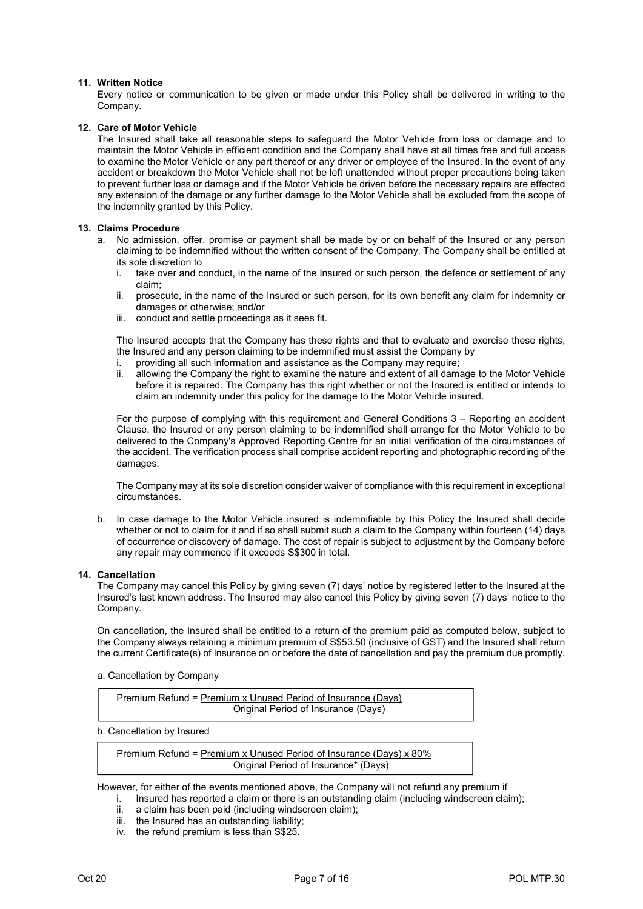#### 11. Written Notice

 Every notice or communication to be given or made under this Policy shall be delivered in writing to the Company.

#### 12. Care of Motor Vehicle

 The Insured shall take all reasonable steps to safeguard the Motor Vehicle from loss or damage and to maintain the Motor Vehicle in efficient condition and the Company shall have at all times free and full access to examine the Motor Vehicle or any part thereof or any driver or employee of the Insured. In the event of any accident or breakdown the Motor Vehicle shall not be left unattended without proper precautions being taken to prevent further loss or damage and if the Motor Vehicle be driven before the necessary repairs are effected any extension of the damage or any further damage to the Motor Vehicle shall be excluded from the scope of the indemnity granted by this Policy.

#### 13. Claims Procedure

- a. No admission, offer, promise or payment shall be made by or on behalf of the Insured or any person claiming to be indemnified without the written consent of the Company. The Company shall be entitled at its sole discretion to
	- i. take over and conduct, in the name of the Insured or such person, the defence or settlement of any claim;
	- ii. prosecute, in the name of the Insured or such person, for its own benefit any claim for indemnity or damages or otherwise; and/or
	- iii. conduct and settle proceedings as it sees fit.

The Insured accepts that the Company has these rights and that to evaluate and exercise these rights, the Insured and any person claiming to be indemnified must assist the Company by

- i. providing all such information and assistance as the Company may require;
- ii. allowing the Company the right to examine the nature and extent of all damage to the Motor Vehicle before it is repaired. The Company has this right whether or not the Insured is entitled or intends to claim an indemnity under this policy for the damage to the Motor Vehicle insured.

For the purpose of complying with this requirement and General Conditions 3 – Reporting an accident Clause, the Insured or any person claiming to be indemnified shall arrange for the Motor Vehicle to be delivered to the Company's Approved Reporting Centre for an initial verification of the circumstances of the accident. The verification process shall comprise accident reporting and photographic recording of the damages.

The Company may at its sole discretion consider waiver of compliance with this requirement in exceptional circumstances.

b. In case damage to the Motor Vehicle insured is indemnifiable by this Policy the Insured shall decide whether or not to claim for it and if so shall submit such a claim to the Company within fourteen (14) days of occurrence or discovery of damage. The cost of repair is subject to adjustment by the Company before any repair may commence if it exceeds S\$300 in total.

#### 14. Cancellation

The Company may cancel this Policy by giving seven (7) days' notice by registered letter to the Insured at the Insured's last known address. The Insured may also cancel this Policy by giving seven (7) days' notice to the Company.

On cancellation, the Insured shall be entitled to a return of the premium paid as computed below, subject to the Company always retaining a minimum premium of S\$53.50 (inclusive of GST) and the Insured shall return the current Certificate(s) of Insurance on or before the date of cancellation and pay the premium due promptly.

#### a. Cancellation by Company

| Premium Refund = Premium x Unused Period of Insurance (Davs) |  |
|--------------------------------------------------------------|--|
| Original Period of Insurance (Days)                          |  |

b. Cancellation by Insured

Premium Refund = Premium x Unused Period of Insurance (Days) x 80% Original Period of Insurance\* (Days)

However, for either of the events mentioned above, the Company will not refund any premium if

- i. Insured has reported a claim or there is an outstanding claim (including windscreen claim);
- ii. a claim has been paid (including windscreen claim);
- iii. the Insured has an outstanding liability;
- iv. the refund premium is less than S\$25.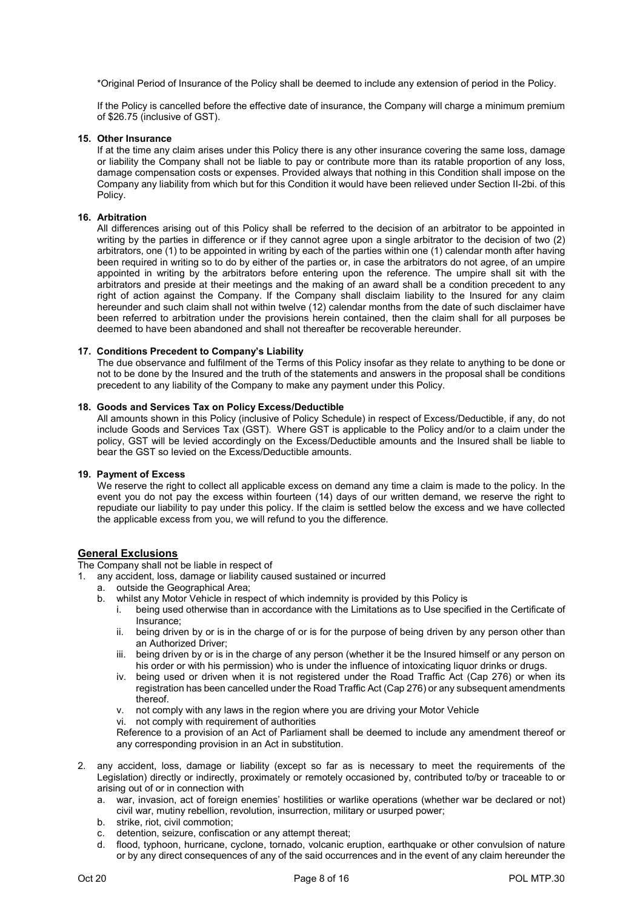\*Original Period of Insurance of the Policy shall be deemed to include any extension of period in the Policy.

If the Policy is cancelled before the effective date of insurance, the Company will charge a minimum premium of \$26.75 (inclusive of GST).

### 15. Other Insurance

 If at the time any claim arises under this Policy there is any other insurance covering the same loss, damage or liability the Company shall not be liable to pay or contribute more than its ratable proportion of any loss, damage compensation costs or expenses. Provided always that nothing in this Condition shall impose on the Company any liability from which but for this Condition it would have been relieved under Section II-2bi. of this Policy.

#### 16. Arbitration

 All differences arising out of this Policy shall be referred to the decision of an arbitrator to be appointed in writing by the parties in difference or if they cannot agree upon a single arbitrator to the decision of two (2) arbitrators, one (1) to be appointed in writing by each of the parties within one (1) calendar month after having been required in writing so to do by either of the parties or, in case the arbitrators do not agree, of an umpire appointed in writing by the arbitrators before entering upon the reference. The umpire shall sit with the arbitrators and preside at their meetings and the making of an award shall be a condition precedent to any right of action against the Company. If the Company shall disclaim liability to the Insured for any claim hereunder and such claim shall not within twelve (12) calendar months from the date of such disclaimer have been referred to arbitration under the provisions herein contained, then the claim shall for all purposes be deemed to have been abandoned and shall not thereafter be recoverable hereunder.

#### 17. Conditions Precedent to Company's Liability

The due observance and fulfilment of the Terms of this Policy insofar as they relate to anything to be done or not to be done by the Insured and the truth of the statements and answers in the proposal shall be conditions precedent to any liability of the Company to make any payment under this Policy.

#### 18. Goods and Services Tax on Policy Excess/Deductible

All amounts shown in this Policy (inclusive of Policy Schedule) in respect of Excess/Deductible, if any, do not include Goods and Services Tax (GST). Where GST is applicable to the Policy and/or to a claim under the policy, GST will be levied accordingly on the Excess/Deductible amounts and the Insured shall be liable to bear the GST so levied on the Excess/Deductible amounts.

#### 19. Payment of Excess

We reserve the right to collect all applicable excess on demand any time a claim is made to the policy. In the event you do not pay the excess within fourteen (14) days of our written demand, we reserve the right to repudiate our liability to pay under this policy. If the claim is settled below the excess and we have collected the applicable excess from you, we will refund to you the difference.

### General Exclusions

The Company shall not be liable in respect of

- 1. any accident, loss, damage or liability caused sustained or incurred
	- a. outside the Geographical Area;
	- b. whilst any Motor Vehicle in respect of which indemnity is provided by this Policy is<br>i. being used otherwise than in accordance with the Limitations as to Use specif
		- being used otherwise than in accordance with the Limitations as to Use specified in the Certificate of Insurance;
		- ii. being driven by or is in the charge of or is for the purpose of being driven by any person other than an Authorized Driver;
		- iii. being driven by or is in the charge of any person (whether it be the Insured himself or any person on his order or with his permission) who is under the influence of intoxicating liquor drinks or drugs.
		- iv. being used or driven when it is not registered under the Road Traffic Act (Cap 276) or when its registration has been cancelled under the Road Traffic Act (Cap 276) or any subsequent amendments thereof.
		- v. not comply with any laws in the region where you are driving your Motor Vehicle
		- vi. not comply with requirement of authorities

Reference to a provision of an Act of Parliament shall be deemed to include any amendment thereof or any corresponding provision in an Act in substitution.

- 2. any accident, loss, damage or liability (except so far as is necessary to meet the requirements of the Legislation) directly or indirectly, proximately or remotely occasioned by, contributed to/by or traceable to or arising out of or in connection with
	- a. war, invasion, act of foreign enemies' hostilities or warlike operations (whether war be declared or not) civil war, mutiny rebellion, revolution, insurrection, military or usurped power;
	- b. strike, riot, civil commotion;
	- c. detention, seizure, confiscation or any attempt thereat;
	- d. flood, typhoon, hurricane, cyclone, tornado, volcanic eruption, earthquake or other convulsion of nature or by any direct consequences of any of the said occurrences and in the event of any claim hereunder the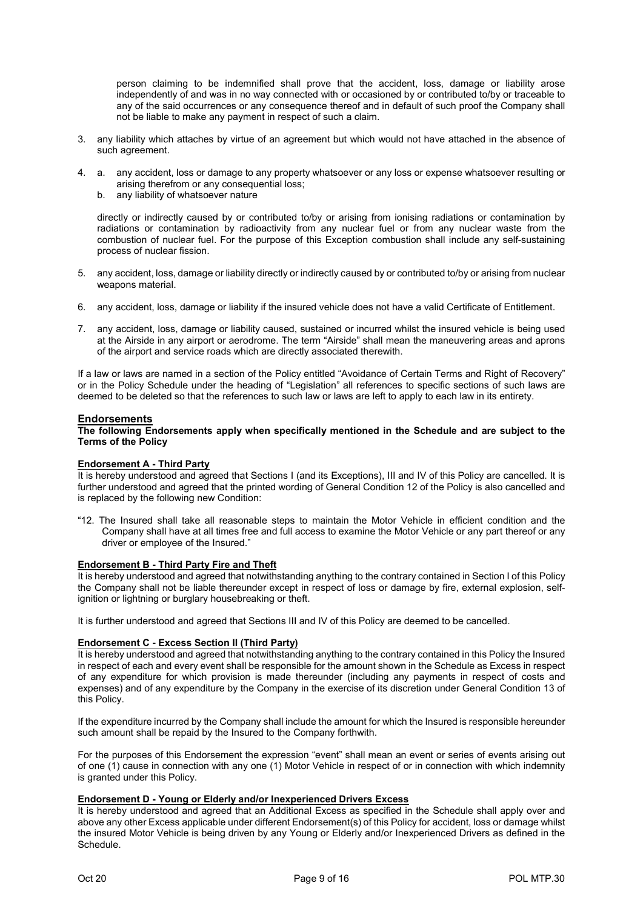person claiming to be indemnified shall prove that the accident, loss, damage or liability arose independently of and was in no way connected with or occasioned by or contributed to/by or traceable to any of the said occurrences or any consequence thereof and in default of such proof the Company shall not be liable to make any payment in respect of such a claim.

- 3. any liability which attaches by virtue of an agreement but which would not have attached in the absence of such agreement.
- 4. a. any accident, loss or damage to any property whatsoever or any loss or expense whatsoever resulting or arising therefrom or any consequential loss;
	- b. any liability of whatsoever nature

 directly or indirectly caused by or contributed to/by or arising from ionising radiations or contamination by radiations or contamination by radioactivity from any nuclear fuel or from any nuclear waste from the combustion of nuclear fuel. For the purpose of this Exception combustion shall include any self-sustaining process of nuclear fission.

- 5. any accident, loss, damage or liability directly or indirectly caused by or contributed to/by or arising from nuclear weapons material.
- 6. any accident, loss, damage or liability if the insured vehicle does not have a valid Certificate of Entitlement.
- 7. any accident, loss, damage or liability caused, sustained or incurred whilst the insured vehicle is being used at the Airside in any airport or aerodrome. The term "Airside" shall mean the maneuvering areas and aprons of the airport and service roads which are directly associated therewith.

If a law or laws are named in a section of the Policy entitled "Avoidance of Certain Terms and Right of Recovery" or in the Policy Schedule under the heading of "Legislation" all references to specific sections of such laws are deemed to be deleted so that the references to such law or laws are left to apply to each law in its entirety.

#### Endorsements

The following Endorsements apply when specifically mentioned in the Schedule and are subject to the Terms of the Policy

#### Endorsement A - Third Party

It is hereby understood and agreed that Sections I (and its Exceptions), III and IV of this Policy are cancelled. It is further understood and agreed that the printed wording of General Condition 12 of the Policy is also cancelled and is replaced by the following new Condition:

"12. The Insured shall take all reasonable steps to maintain the Motor Vehicle in efficient condition and the Company shall have at all times free and full access to examine the Motor Vehicle or any part thereof or any driver or employee of the Insured."

#### Endorsement B - Third Party Fire and Theft

It is hereby understood and agreed that notwithstanding anything to the contrary contained in Section I of this Policy the Company shall not be liable thereunder except in respect of loss or damage by fire, external explosion, selfignition or lightning or burglary housebreaking or theft.

It is further understood and agreed that Sections III and IV of this Policy are deemed to be cancelled.

## Endorsement C - Excess Section II (Third Party)

It is hereby understood and agreed that notwithstanding anything to the contrary contained in this Policy the Insured in respect of each and every event shall be responsible for the amount shown in the Schedule as Excess in respect of any expenditure for which provision is made thereunder (including any payments in respect of costs and expenses) and of any expenditure by the Company in the exercise of its discretion under General Condition 13 of this Policy.

If the expenditure incurred by the Company shall include the amount for which the Insured is responsible hereunder such amount shall be repaid by the Insured to the Company forthwith.

For the purposes of this Endorsement the expression "event" shall mean an event or series of events arising out of one (1) cause in connection with any one (1) Motor Vehicle in respect of or in connection with which indemnity is granted under this Policy.

#### Endorsement D - Young or Elderly and/or Inexperienced Drivers Excess

It is hereby understood and agreed that an Additional Excess as specified in the Schedule shall apply over and above any other Excess applicable under different Endorsement(s) of this Policy for accident, loss or damage whilst the insured Motor Vehicle is being driven by any Young or Elderly and/or Inexperienced Drivers as defined in the Schedule.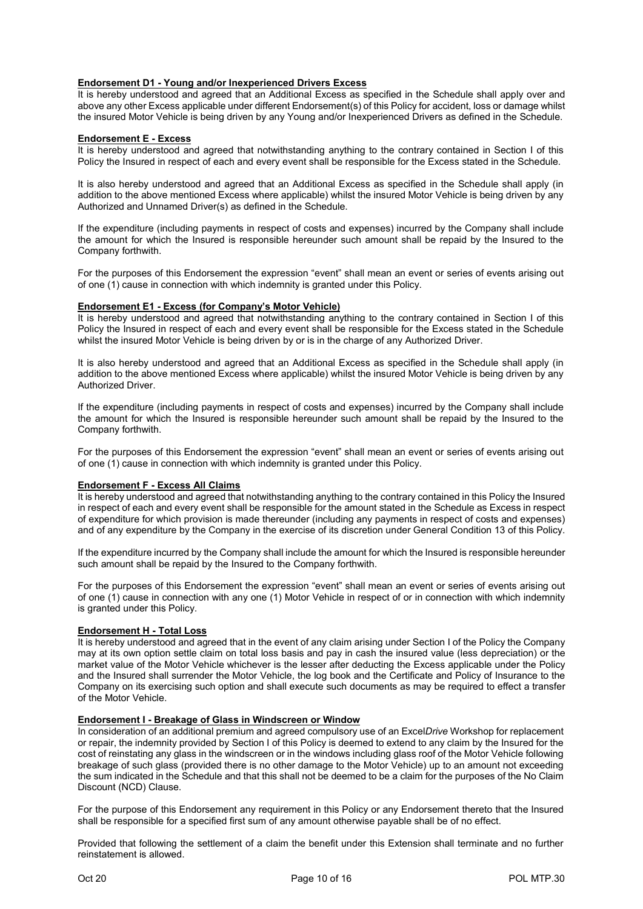## Endorsement D1 - Young and/or Inexperienced Drivers Excess

It is hereby understood and agreed that an Additional Excess as specified in the Schedule shall apply over and above any other Excess applicable under different Endorsement(s) of this Policy for accident, loss or damage whilst the insured Motor Vehicle is being driven by any Young and/or Inexperienced Drivers as defined in the Schedule.

#### Endorsement E - Excess

It is hereby understood and agreed that notwithstanding anything to the contrary contained in Section I of this Policy the Insured in respect of each and every event shall be responsible for the Excess stated in the Schedule.

It is also hereby understood and agreed that an Additional Excess as specified in the Schedule shall apply (in addition to the above mentioned Excess where applicable) whilst the insured Motor Vehicle is being driven by any Authorized and Unnamed Driver(s) as defined in the Schedule.

If the expenditure (including payments in respect of costs and expenses) incurred by the Company shall include the amount for which the Insured is responsible hereunder such amount shall be repaid by the Insured to the Company forthwith.

For the purposes of this Endorsement the expression "event" shall mean an event or series of events arising out of one (1) cause in connection with which indemnity is granted under this Policy.

#### Endorsement E1 - Excess (for Company's Motor Vehicle)

It is hereby understood and agreed that notwithstanding anything to the contrary contained in Section I of this Policy the Insured in respect of each and every event shall be responsible for the Excess stated in the Schedule whilst the insured Motor Vehicle is being driven by or is in the charge of any Authorized Driver.

It is also hereby understood and agreed that an Additional Excess as specified in the Schedule shall apply (in addition to the above mentioned Excess where applicable) whilst the insured Motor Vehicle is being driven by any Authorized Driver.

If the expenditure (including payments in respect of costs and expenses) incurred by the Company shall include the amount for which the Insured is responsible hereunder such amount shall be repaid by the Insured to the Company forthwith.

For the purposes of this Endorsement the expression "event" shall mean an event or series of events arising out of one (1) cause in connection with which indemnity is granted under this Policy.

#### Endorsement F - Excess All Claims

It is hereby understood and agreed that notwithstanding anything to the contrary contained in this Policy the Insured in respect of each and every event shall be responsible for the amount stated in the Schedule as Excess in respect of expenditure for which provision is made thereunder (including any payments in respect of costs and expenses) and of any expenditure by the Company in the exercise of its discretion under General Condition 13 of this Policy.

If the expenditure incurred by the Company shall include the amount for which the Insured is responsible hereunder such amount shall be repaid by the Insured to the Company forthwith.

For the purposes of this Endorsement the expression "event" shall mean an event or series of events arising out of one (1) cause in connection with any one (1) Motor Vehicle in respect of or in connection with which indemnity is granted under this Policy.

#### Endorsement H - Total Loss

It is hereby understood and agreed that in the event of any claim arising under Section I of the Policy the Company may at its own option settle claim on total loss basis and pay in cash the insured value (less depreciation) or the market value of the Motor Vehicle whichever is the lesser after deducting the Excess applicable under the Policy and the Insured shall surrender the Motor Vehicle, the log book and the Certificate and Policy of Insurance to the Company on its exercising such option and shall execute such documents as may be required to effect a transfer of the Motor Vehicle.

#### Endorsement I - Breakage of Glass in Windscreen or Window

In consideration of an additional premium and agreed compulsory use of an ExcelDrive Workshop for replacement or repair, the indemnity provided by Section I of this Policy is deemed to extend to any claim by the Insured for the cost of reinstating any glass in the windscreen or in the windows including glass roof of the Motor Vehicle following breakage of such glass (provided there is no other damage to the Motor Vehicle) up to an amount not exceeding the sum indicated in the Schedule and that this shall not be deemed to be a claim for the purposes of the No Claim Discount (NCD) Clause.

For the purpose of this Endorsement any requirement in this Policy or any Endorsement thereto that the Insured shall be responsible for a specified first sum of any amount otherwise payable shall be of no effect.

Provided that following the settlement of a claim the benefit under this Extension shall terminate and no further reinstatement is allowed.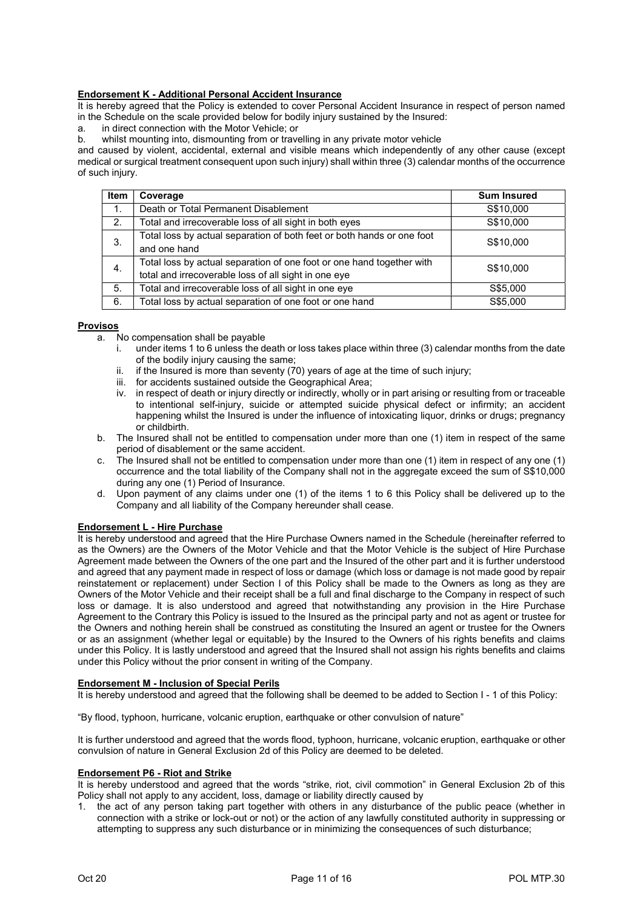## Endorsement K - Additional Personal Accident Insurance

It is hereby agreed that the Policy is extended to cover Personal Accident Insurance in respect of person named in the Schedule on the scale provided below for bodily injury sustained by the Insured:

a. in direct connection with the Motor Vehicle; or

b. whilst mounting into, dismounting from or travelling in any private motor vehicle

and caused by violent, accidental, external and visible means which independently of any other cause (except medical or surgical treatment consequent upon such injury) shall within three (3) calendar months of the occurrence of such injury.

| Item           | Coverage                                                                                                                      | <b>Sum Insured</b> |
|----------------|-------------------------------------------------------------------------------------------------------------------------------|--------------------|
| $\mathbf{1}$ . | Death or Total Permanent Disablement                                                                                          | S\$10,000          |
| 2.             | Total and irrecoverable loss of all sight in both eyes                                                                        | S\$10,000          |
| 3.             | Total loss by actual separation of both feet or both hands or one foot<br>and one hand                                        | S\$10,000          |
| 4.             | Total loss by actual separation of one foot or one hand together with<br>total and irrecoverable loss of all sight in one eye | S\$10,000          |
| 5.             | Total and irrecoverable loss of all sight in one eye                                                                          | S\$5,000           |
| 6.             | Total loss by actual separation of one foot or one hand                                                                       | S\$5,000           |

#### **Provisos**

- a. No compensation shall be payable
	- i. under items 1 to 6 unless the death or loss takes place within three (3) calendar months from the date of the bodily injury causing the same;
	- ii. if the Insured is more than seventy (70) years of age at the time of such injury;
	- iii. for accidents sustained outside the Geographical Area;
	- iv. in respect of death or injury directly or indirectly, wholly or in part arising or resulting from or traceable to intentional self-injury, suicide or attempted suicide physical defect or infirmity; an accident happening whilst the Insured is under the influence of intoxicating liquor, drinks or drugs; pregnancy or childbirth.
- b. The Insured shall not be entitled to compensation under more than one (1) item in respect of the same period of disablement or the same accident.
- c. The Insured shall not be entitled to compensation under more than one (1) item in respect of any one (1) occurrence and the total liability of the Company shall not in the aggregate exceed the sum of S\$10,000 during any one (1) Period of Insurance.
- d. Upon payment of any claims under one (1) of the items 1 to 6 this Policy shall be delivered up to the Company and all liability of the Company hereunder shall cease.

## Endorsement L - Hire Purchase

It is hereby understood and agreed that the Hire Purchase Owners named in the Schedule (hereinafter referred to as the Owners) are the Owners of the Motor Vehicle and that the Motor Vehicle is the subject of Hire Purchase Agreement made between the Owners of the one part and the Insured of the other part and it is further understood and agreed that any payment made in respect of loss or damage (which loss or damage is not made good by repair reinstatement or replacement) under Section I of this Policy shall be made to the Owners as long as they are Owners of the Motor Vehicle and their receipt shall be a full and final discharge to the Company in respect of such loss or damage. It is also understood and agreed that notwithstanding any provision in the Hire Purchase Agreement to the Contrary this Policy is issued to the Insured as the principal party and not as agent or trustee for the Owners and nothing herein shall be construed as constituting the Insured an agent or trustee for the Owners or as an assignment (whether legal or equitable) by the Insured to the Owners of his rights benefits and claims under this Policy. It is lastly understood and agreed that the Insured shall not assign his rights benefits and claims under this Policy without the prior consent in writing of the Company.

#### Endorsement M - Inclusion of Special Perils

It is hereby understood and agreed that the following shall be deemed to be added to Section I - 1 of this Policy:

"By flood, typhoon, hurricane, volcanic eruption, earthquake or other convulsion of nature"

It is further understood and agreed that the words flood, typhoon, hurricane, volcanic eruption, earthquake or other convulsion of nature in General Exclusion 2d of this Policy are deemed to be deleted.

#### Endorsement P6 - Riot and Strike

It is hereby understood and agreed that the words "strike, riot, civil commotion" in General Exclusion 2b of this Policy shall not apply to any accident, loss, damage or liability directly caused by

1. the act of any person taking part together with others in any disturbance of the public peace (whether in connection with a strike or lock-out or not) or the action of any lawfully constituted authority in suppressing or attempting to suppress any such disturbance or in minimizing the consequences of such disturbance;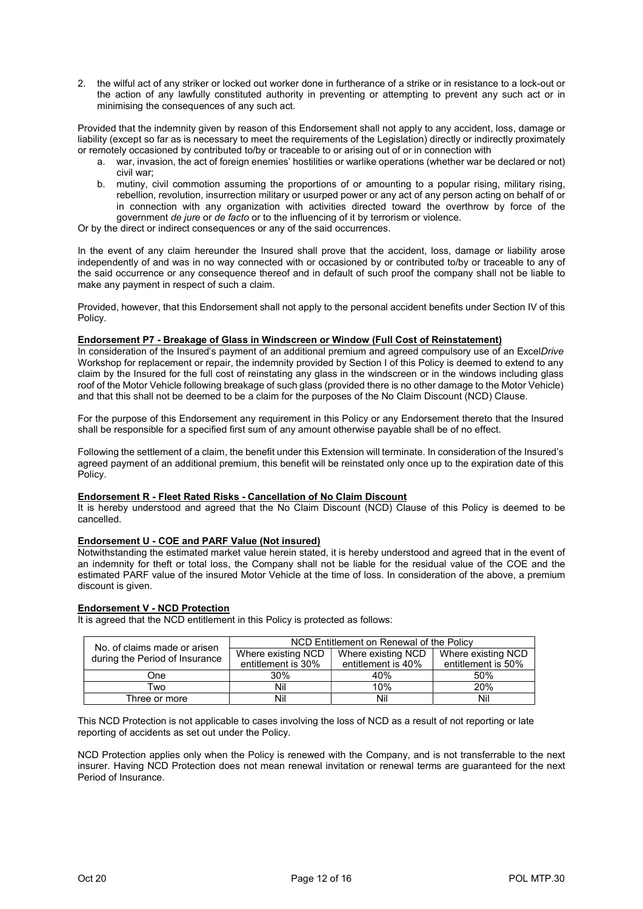2. the wilful act of any striker or locked out worker done in furtherance of a strike or in resistance to a lock-out or the action of any lawfully constituted authority in preventing or attempting to prevent any such act or in minimising the consequences of any such act.

Provided that the indemnity given by reason of this Endorsement shall not apply to any accident, loss, damage or liability (except so far as is necessary to meet the requirements of the Legislation) directly or indirectly proximately or remotely occasioned by contributed to/by or traceable to or arising out of or in connection with

- a. war, invasion, the act of foreign enemies' hostilities or warlike operations (whether war be declared or not) civil war;
- b. mutiny, civil commotion assuming the proportions of or amounting to a popular rising, military rising, rebellion, revolution, insurrection military or usurped power or any act of any person acting on behalf of or in connection with any organization with activities directed toward the overthrow by force of the government de jure or de facto or to the influencing of it by terrorism or violence.

Or by the direct or indirect consequences or any of the said occurrences.

In the event of any claim hereunder the Insured shall prove that the accident, loss, damage or liability arose independently of and was in no way connected with or occasioned by or contributed to/by or traceable to any of the said occurrence or any consequence thereof and in default of such proof the company shall not be liable to make any payment in respect of such a claim.

Provided, however, that this Endorsement shall not apply to the personal accident benefits under Section IV of this Policy.

## Endorsement P7 - Breakage of Glass in Windscreen or Window (Full Cost of Reinstatement)

In consideration of the Insured's payment of an additional premium and agreed compulsory use of an ExcelDrive Workshop for replacement or repair, the indemnity provided by Section I of this Policy is deemed to extend to any claim by the Insured for the full cost of reinstating any glass in the windscreen or in the windows including glass roof of the Motor Vehicle following breakage of such glass (provided there is no other damage to the Motor Vehicle) and that this shall not be deemed to be a claim for the purposes of the No Claim Discount (NCD) Clause.

For the purpose of this Endorsement any requirement in this Policy or any Endorsement thereto that the Insured shall be responsible for a specified first sum of any amount otherwise payable shall be of no effect.

Following the settlement of a claim, the benefit under this Extension will terminate. In consideration of the Insured's agreed payment of an additional premium, this benefit will be reinstated only once up to the expiration date of this Policy.

#### Endorsement R - Fleet Rated Risks - Cancellation of No Claim Discount

It is hereby understood and agreed that the No Claim Discount (NCD) Clause of this Policy is deemed to be cancelled.

#### Endorsement U - COE and PARF Value (Not insured)

Notwithstanding the estimated market value herein stated, it is hereby understood and agreed that in the event of an indemnity for theft or total loss, the Company shall not be liable for the residual value of the COE and the estimated PARF value of the insured Motor Vehicle at the time of loss. In consideration of the above, a premium discount is given.

#### Endorsement V - NCD Protection

It is agreed that the NCD entitlement in this Policy is protected as follows:

| No. of claims made or arisen<br>during the Period of Insurance | NCD Entitlement on Renewal of the Policy |                    |                    |
|----------------------------------------------------------------|------------------------------------------|--------------------|--------------------|
|                                                                | Where existing NCD                       | Where existing NCD | Where existing NCD |
|                                                                | entitlement is 30%                       | entitlement is 40% | entitlement is 50% |
| One                                                            | 30%                                      | 40%                | 50%                |
| Two                                                            | Nil                                      | 10%                | 20%                |
| Three or more                                                  | Nil                                      | Nil                | Nil                |

This NCD Protection is not applicable to cases involving the loss of NCD as a result of not reporting or late reporting of accidents as set out under the Policy.

NCD Protection applies only when the Policy is renewed with the Company, and is not transferrable to the next insurer. Having NCD Protection does not mean renewal invitation or renewal terms are guaranteed for the next Period of Insurance.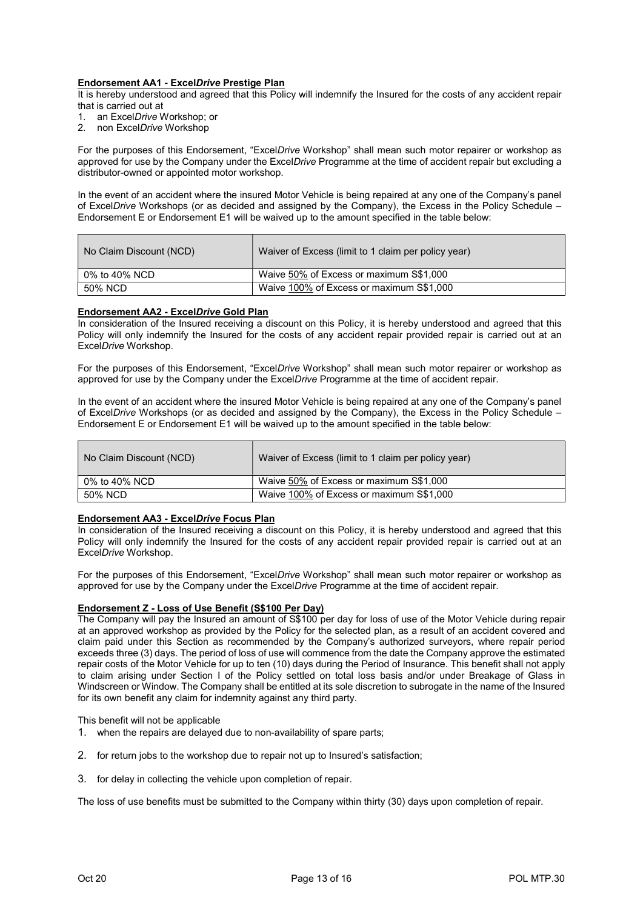## Endorsement AA1 - ExcelDrive Prestige Plan

It is hereby understood and agreed that this Policy will indemnify the Insured for the costs of any accident repair that is carried out at

- 1. an ExcelDrive Workshop; or
- 2. non ExcelDrive Workshop

For the purposes of this Endorsement, "ExcelDrive Workshop" shall mean such motor repairer or workshop as approved for use by the Company under the ExcelDrive Programme at the time of accident repair but excluding a distributor-owned or appointed motor workshop.

In the event of an accident where the insured Motor Vehicle is being repaired at any one of the Company's panel of ExcelDrive Workshops (or as decided and assigned by the Company), the Excess in the Policy Schedule – Endorsement E or Endorsement E1 will be waived up to the amount specified in the table below:

| No Claim Discount (NCD) | Waiver of Excess (limit to 1 claim per policy year) |
|-------------------------|-----------------------------------------------------|
| 0% to 40% NCD           | Waive 50% of Excess or maximum S\$1,000             |
| 50% NCD                 | Waive 100% of Excess or maximum S\$1,000            |

#### Endorsement AA2 - ExcelDrive Gold Plan

In consideration of the Insured receiving a discount on this Policy, it is hereby understood and agreed that this Policy will only indemnify the Insured for the costs of any accident repair provided repair is carried out at an ExcelDrive Workshop.

For the purposes of this Endorsement, "ExcelDrive Workshop" shall mean such motor repairer or workshop as approved for use by the Company under the ExcelDrive Programme at the time of accident repair.

In the event of an accident where the insured Motor Vehicle is being repaired at any one of the Company's panel of ExcelDrive Workshops (or as decided and assigned by the Company), the Excess in the Policy Schedule – Endorsement E or Endorsement E1 will be waived up to the amount specified in the table below:

| No Claim Discount (NCD) | Waiver of Excess (limit to 1 claim per policy year) |
|-------------------------|-----------------------------------------------------|
| 0% to 40% NCD           | Waive 50% of Excess or maximum S\$1,000             |
| 50% NCD                 | Waive 100% of Excess or maximum S\$1,000            |

#### Endorsement AA3 - ExcelDrive Focus Plan

In consideration of the Insured receiving a discount on this Policy, it is hereby understood and agreed that this Policy will only indemnify the Insured for the costs of any accident repair provided repair is carried out at an ExcelDrive Workshop.

For the purposes of this Endorsement, "ExcelDrive Workshop" shall mean such motor repairer or workshop as approved for use by the Company under the ExcelDrive Programme at the time of accident repair.

## Endorsement Z - Loss of Use Benefit (S\$100 Per Day)

The Company will pay the Insured an amount of S\$100 per day for loss of use of the Motor Vehicle during repair at an approved workshop as provided by the Policy for the selected plan, as a result of an accident covered and claim paid under this Section as recommended by the Company's authorized surveyors, where repair period exceeds three (3) days. The period of loss of use will commence from the date the Company approve the estimated repair costs of the Motor Vehicle for up to ten (10) days during the Period of Insurance. This benefit shall not apply to claim arising under Section I of the Policy settled on total loss basis and/or under Breakage of Glass in Windscreen or Window. The Company shall be entitled at its sole discretion to subrogate in the name of the Insured for its own benefit any claim for indemnity against any third party.

This benefit will not be applicable

- 1. when the repairs are delayed due to non-availability of spare parts;
- 2. for return jobs to the workshop due to repair not up to Insured's satisfaction;
- 3. for delay in collecting the vehicle upon completion of repair.

The loss of use benefits must be submitted to the Company within thirty (30) days upon completion of repair.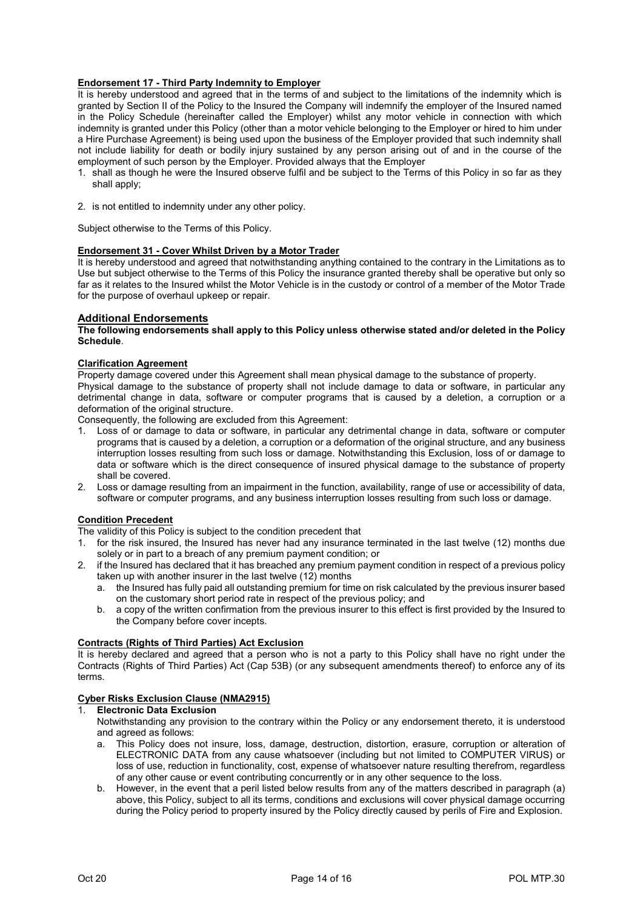## Endorsement 17 - Third Party Indemnity to Employer

It is hereby understood and agreed that in the terms of and subject to the limitations of the indemnity which is granted by Section II of the Policy to the Insured the Company will indemnify the employer of the Insured named in the Policy Schedule (hereinafter called the Employer) whilst any motor vehicle in connection with which indemnity is granted under this Policy (other than a motor vehicle belonging to the Employer or hired to him under a Hire Purchase Agreement) is being used upon the business of the Employer provided that such indemnity shall not include liability for death or bodily injury sustained by any person arising out of and in the course of the employment of such person by the Employer. Provided always that the Employer

- 1. shall as though he were the Insured observe fulfil and be subject to the Terms of this Policy in so far as they shall apply;
- 2. is not entitled to indemnity under any other policy.

Subject otherwise to the Terms of this Policy.

#### Endorsement 31 - Cover Whilst Driven by a Motor Trader

It is hereby understood and agreed that notwithstanding anything contained to the contrary in the Limitations as to Use but subject otherwise to the Terms of this Policy the insurance granted thereby shall be operative but only so far as it relates to the Insured whilst the Motor Vehicle is in the custody or control of a member of the Motor Trade for the purpose of overhaul upkeep or repair.

#### Additional Endorsements

The following endorsements shall apply to this Policy unless otherwise stated and/or deleted in the Policy Schedule.

#### Clarification Agreement

Property damage covered under this Agreement shall mean physical damage to the substance of property. Physical damage to the substance of property shall not include damage to data or software, in particular any detrimental change in data, software or computer programs that is caused by a deletion, a corruption or a deformation of the original structure.

Consequently, the following are excluded from this Agreement:

- 1. Loss of or damage to data or software, in particular any detrimental change in data, software or computer programs that is caused by a deletion, a corruption or a deformation of the original structure, and any business interruption losses resulting from such loss or damage. Notwithstanding this Exclusion, loss of or damage to data or software which is the direct consequence of insured physical damage to the substance of property shall be covered.
- 2. Loss or damage resulting from an impairment in the function, availability, range of use or accessibility of data, software or computer programs, and any business interruption losses resulting from such loss or damage.

#### Condition Precedent

The validity of this Policy is subject to the condition precedent that

- 1. for the risk insured, the Insured has never had any insurance terminated in the last twelve (12) months due solely or in part to a breach of any premium payment condition; or
- 2. if the Insured has declared that it has breached any premium payment condition in respect of a previous policy taken up with another insurer in the last twelve  $(12)$  months
	- a. the Insured has fully paid all outstanding premium for time on risk calculated by the previous insurer based on the customary short period rate in respect of the previous policy; and
	- b. a copy of the written confirmation from the previous insurer to this effect is first provided by the Insured to the Company before cover incepts.

## Contracts (Rights of Third Parties) Act Exclusion

It is hereby declared and agreed that a person who is not a party to this Policy shall have no right under the Contracts (Rights of Third Parties) Act (Cap 53B) (or any subsequent amendments thereof) to enforce any of its terms.

# Cyber Risks Exclusion Clause (NMA2915)<br>1 Flectronic Data Exclusion

## **Electronic Data Exclusion**

Notwithstanding any provision to the contrary within the Policy or any endorsement thereto, it is understood and agreed as follows:

- a. This Policy does not insure, loss, damage, destruction, distortion, erasure, corruption or alteration of ELECTRONIC DATA from any cause whatsoever (including but not limited to COMPUTER VIRUS) or loss of use, reduction in functionality, cost, expense of whatsoever nature resulting therefrom, regardless of any other cause or event contributing concurrently or in any other sequence to the loss.
- b. However, in the event that a peril listed below results from any of the matters described in paragraph (a) above, this Policy, subject to all its terms, conditions and exclusions will cover physical damage occurring during the Policy period to property insured by the Policy directly caused by perils of Fire and Explosion.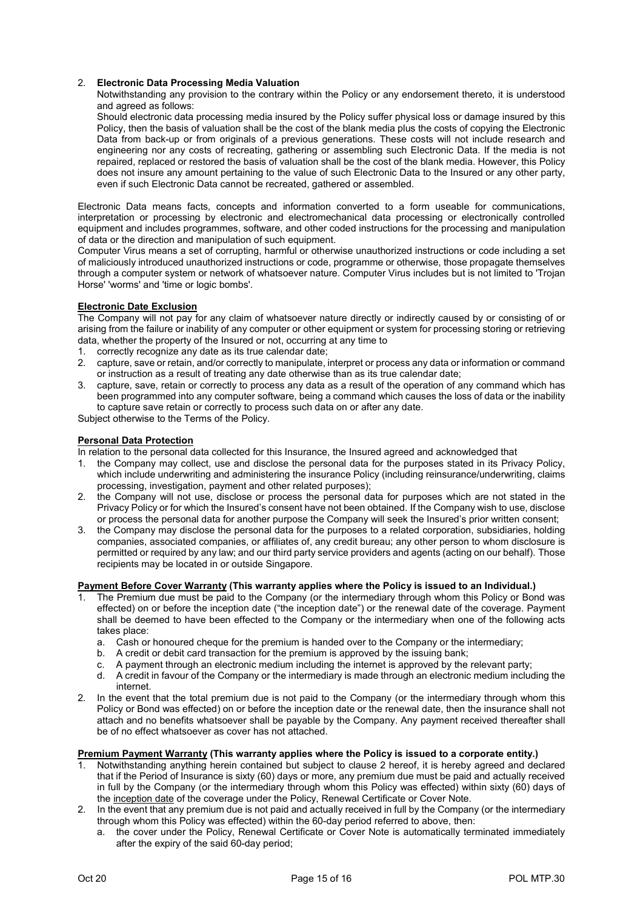## 2. Electronic Data Processing Media Valuation

Notwithstanding any provision to the contrary within the Policy or any endorsement thereto, it is understood and agreed as follows:

Should electronic data processing media insured by the Policy suffer physical loss or damage insured by this Policy, then the basis of valuation shall be the cost of the blank media plus the costs of copying the Electronic Data from back-up or from originals of a previous generations. These costs will not include research and engineering nor any costs of recreating, gathering or assembling such Electronic Data. If the media is not repaired, replaced or restored the basis of valuation shall be the cost of the blank media. However, this Policy does not insure any amount pertaining to the value of such Electronic Data to the Insured or any other party, even if such Electronic Data cannot be recreated, gathered or assembled.

Electronic Data means facts, concepts and information converted to a form useable for communications, interpretation or processing by electronic and electromechanical data processing or electronically controlled equipment and includes programmes, software, and other coded instructions for the processing and manipulation of data or the direction and manipulation of such equipment.

Computer Virus means a set of corrupting, harmful or otherwise unauthorized instructions or code including a set of maliciously introduced unauthorized instructions or code, programme or otherwise, those propagate themselves through a computer system or network of whatsoever nature. Computer Virus includes but is not limited to 'Trojan Horse' 'worms' and 'time or logic bombs'.

## Electronic Date Exclusion

The Company will not pay for any claim of whatsoever nature directly or indirectly caused by or consisting of or arising from the failure or inability of any computer or other equipment or system for processing storing or retrieving data, whether the property of the Insured or not, occurring at any time to

- 1. correctly recognize any date as its true calendar date;
- 2. capture, save or retain, and/or correctly to manipulate, interpret or process any data or information or command or instruction as a result of treating any date otherwise than as its true calendar date;
- 3. capture, save, retain or correctly to process any data as a result of the operation of any command which has been programmed into any computer software, being a command which causes the loss of data or the inability to capture save retain or correctly to process such data on or after any date.

Subject otherwise to the Terms of the Policy.

#### Personal Data Protection

- In relation to the personal data collected for this Insurance, the Insured agreed and acknowledged that
- 1. the Company may collect, use and disclose the personal data for the purposes stated in its Privacy Policy, which include underwriting and administering the insurance Policy (including reinsurance/underwriting, claims processing, investigation, payment and other related purposes);
- 2. the Company will not use, disclose or process the personal data for purposes which are not stated in the Privacy Policy or for which the Insured's consent have not been obtained. If the Company wish to use, disclose or process the personal data for another purpose the Company will seek the Insured's prior written consent;
- 3. the Company may disclose the personal data for the purposes to a related corporation, subsidiaries, holding companies, associated companies, or affiliates of, any credit bureau; any other person to whom disclosure is permitted or required by any law; and our third party service providers and agents (acting on our behalf). Those recipients may be located in or outside Singapore.

## Payment Before Cover Warranty (This warranty applies where the Policy is issued to an Individual.)

- 1. The Premium due must be paid to the Company (or the intermediary through whom this Policy or Bond was effected) on or before the inception date ("the inception date") or the renewal date of the coverage. Payment shall be deemed to have been effected to the Company or the intermediary when one of the following acts takes place:
	- a. Cash or honoured cheque for the premium is handed over to the Company or the intermediary;
	- b. A credit or debit card transaction for the premium is approved by the issuing bank;
	- c. A payment through an electronic medium including the internet is approved by the relevant party;
	- d. A credit in favour of the Company or the intermediary is made through an electronic medium including the internet.
- 2. In the event that the total premium due is not paid to the Company (or the intermediary through whom this Policy or Bond was effected) on or before the inception date or the renewal date, then the insurance shall not attach and no benefits whatsoever shall be payable by the Company. Any payment received thereafter shall be of no effect whatsoever as cover has not attached.

#### Premium Payment Warranty (This warranty applies where the Policy is issued to a corporate entity.)

- 1. Notwithstanding anything herein contained but subject to clause 2 hereof, it is hereby agreed and declared that if the Period of Insurance is sixty (60) days or more, any premium due must be paid and actually received in full by the Company (or the intermediary through whom this Policy was effected) within sixty (60) days of the inception date of the coverage under the Policy, Renewal Certificate or Cover Note.
- 2. In the event that any premium due is not paid and actually received in full by the Company (or the intermediary through whom this Policy was effected) within the 60-day period referred to above, then:
	- a. the cover under the Policy, Renewal Certificate or Cover Note is automatically terminated immediately after the expiry of the said 60-day period;